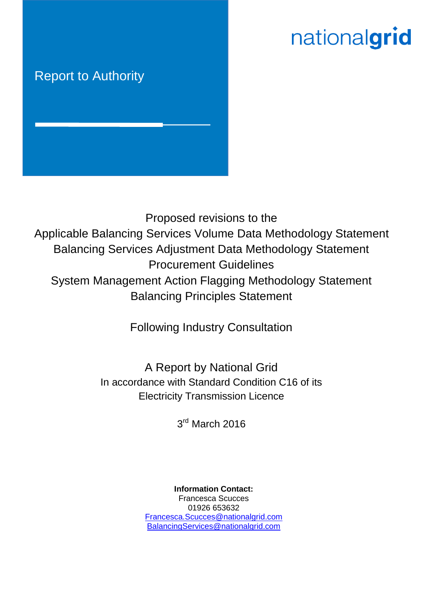# nationalgrid

# Report to Authority



Proposed revisions to the Applicable Balancing Services Volume Data Methodology Statement Balancing Services Adjustment Data Methodology Statement Procurement Guidelines System Management Action Flagging Methodology Statement Balancing Principles Statement

Following Industry Consultation

A Report by National Grid In accordance with Standard Condition C16 of its Electricity Transmission Licence

3<sup>rd</sup> March 2016

**Information Contact:** Francesca Scucces 01926 653632 [Francesca.Scucces@nationalgrid.com](mailto:Francesca.Scucces@nationalgrid.com) [BalancingServices@nationalgrid.com](mailto:BalancingServices@nationalgrid.com)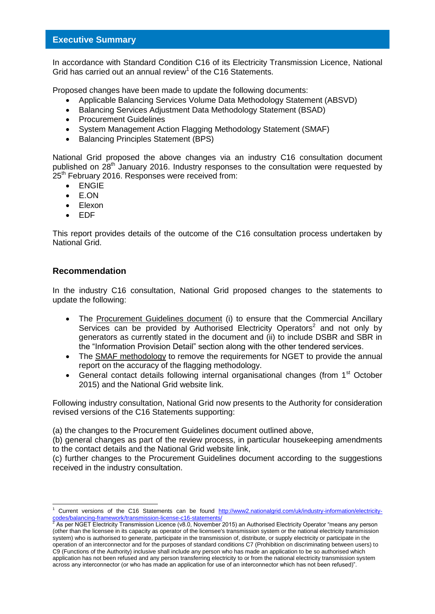# **Executive Summary**

In accordance with Standard Condition C16 of its Electricity Transmission Licence, National Grid has carried out an annual review<sup>1</sup> of the C16 Statements.

Proposed changes have been made to update the following documents:

- Applicable Balancing Services Volume Data Methodology Statement (ABSVD)
- Balancing Services Adjustment Data Methodology Statement (BSAD)
- Procurement Guidelines
- System Management Action Flagging Methodology Statement (SMAF)
- Balancing Principles Statement (BPS)

National Grid proposed the above changes via an industry C16 consultation document published on 28<sup>th</sup> January 2016. Industry responses to the consultation were requested by 25<sup>th</sup> February 2016. Responses were received from:

- ENGIE
- E.ON
- Elexon
- EDF

This report provides details of the outcome of the C16 consultation process undertaken by National Grid.

# **Recommendation**

-

In the industry C16 consultation, National Grid proposed changes to the statements to update the following:

- The Procurement Guidelines document (i) to ensure that the Commercial Ancillary Services can be provided by Authorised Electricity Operators<sup>2</sup> and not only by generators as currently stated in the document and (ii) to include DSBR and SBR in the "Information Provision Detail" section along with the other tendered services.
- The SMAF methodology to remove the requirements for NGET to provide the annual report on the accuracy of the flagging methodology.
- General contact details following internal organisational changes (from 1<sup>st</sup> October 2015) and the National Grid website link.

Following industry consultation, National Grid now presents to the Authority for consideration revised versions of the C16 Statements supporting:

(a) the changes to the Procurement Guidelines document outlined above,

(b) general changes as part of the review process, in particular housekeeping amendments to the contact details and the National Grid website link,

(c) further changes to the Procurement Guidelines document according to the suggestions received in the industry consultation.

Current versions of the C16 Statements can be found [http://www2.nationalgrid.com/uk/industry-information/electricity](http://www2.nationalgrid.com/uk/industry-information/electricity-codes/balancing-framework/transmission-license-c16-statements/)<u>[codes/balancing-framework/transmission-license-c16-statements/](http://www2.nationalgrid.com/uk/industry-information/electricity-codes/balancing-framework/transmission-license-c16-statements/)</u><br><sup>2</sup> As per NGET Electricity Transmission Licence (v8.0, November 2015) an Authorised Electricity Operator "means any person

<sup>(</sup>other than the licensee in its capacity as operator of the licensee's transmission system or the national electricity transmission system) who is authorised to generate, participate in the transmission of, distribute, or supply electricity or participate in the operation of an interconnector and for the purposes of standard conditions C7 (Prohibition on discriminating between users) to C9 (Functions of the Authority) inclusive shall include any person who has made an application to be so authorised which application has not been refused and any person transferring electricity to or from the national electricity transmission system across any interconnector (or who has made an application for use of an interconnector which has not been refused)".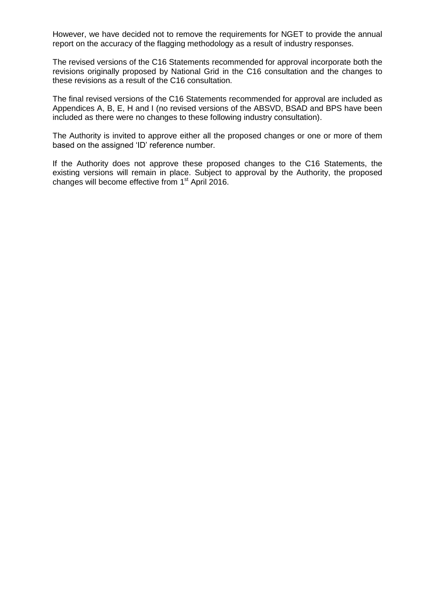However, we have decided not to remove the requirements for NGET to provide the annual report on the accuracy of the flagging methodology as a result of industry responses.

The revised versions of the C16 Statements recommended for approval incorporate both the revisions originally proposed by National Grid in the C16 consultation and the changes to these revisions as a result of the C16 consultation.

The final revised versions of the C16 Statements recommended for approval are included as Appendices A, B, E, H and I (no revised versions of the ABSVD, BSAD and BPS have been included as there were no changes to these following industry consultation).

The Authority is invited to approve either all the proposed changes or one or more of them based on the assigned 'ID' reference number.

If the Authority does not approve these proposed changes to the C16 Statements, the existing versions will remain in place. Subject to approval by the Authority, the proposed changes will become effective from 1<sup>st</sup> April 2016.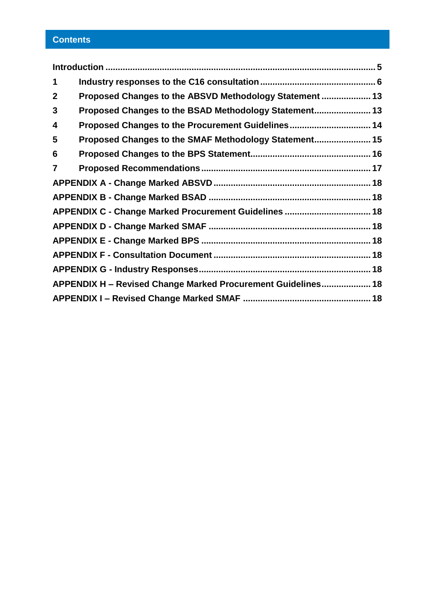# **Contents**

| 1              |                                                              |  |
|----------------|--------------------------------------------------------------|--|
| $\mathbf{2}$   | Proposed Changes to the ABSVD Methodology Statement  13      |  |
| 3              | Proposed Changes to the BSAD Methodology Statement 13        |  |
| 4              | Proposed Changes to the Procurement Guidelines 14            |  |
| 5              | Proposed Changes to the SMAF Methodology Statement 15        |  |
| 6              |                                                              |  |
| $\overline{7}$ |                                                              |  |
|                |                                                              |  |
|                |                                                              |  |
|                | APPENDIX C - Change Marked Procurement Guidelines  18        |  |
|                |                                                              |  |
|                |                                                              |  |
|                |                                                              |  |
|                |                                                              |  |
|                | APPENDIX H - Revised Change Marked Procurement Guidelines 18 |  |
|                |                                                              |  |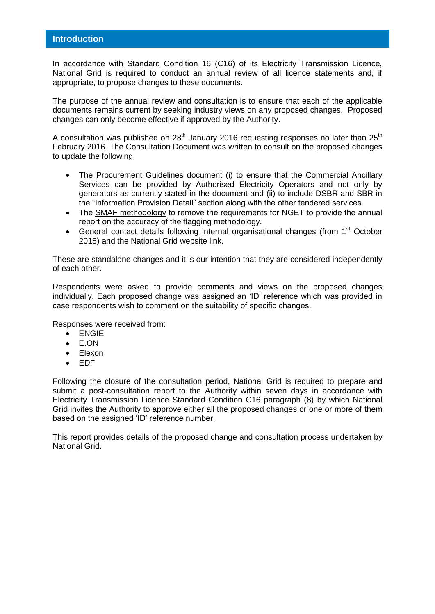<span id="page-4-0"></span>In accordance with Standard Condition 16 (C16) of its Electricity Transmission Licence, National Grid is required to conduct an annual review of all licence statements and, if appropriate, to propose changes to these documents.

The purpose of the annual review and consultation is to ensure that each of the applicable documents remains current by seeking industry views on any proposed changes. Proposed changes can only become effective if approved by the Authority.

A consultation was published on  $28<sup>th</sup>$  January 2016 requesting responses no later than  $25<sup>th</sup>$ February 2016. The Consultation Document was written to consult on the proposed changes to update the following:

- The Procurement Guidelines document (i) to ensure that the Commercial Ancillary Services can be provided by Authorised Electricity Operators and not only by generators as currently stated in the document and (ii) to include DSBR and SBR in the "Information Provision Detail" section along with the other tendered services.
- The SMAF methodology to remove the requirements for NGET to provide the annual report on the accuracy of the flagging methodology.
- General contact details following internal organisational changes (from 1<sup>st</sup> October 2015) and the National Grid website link.

These are standalone changes and it is our intention that they are considered independently of each other.

Respondents were asked to provide comments and views on the proposed changes individually. Each proposed change was assigned an 'ID' reference which was provided in case respondents wish to comment on the suitability of specific changes.

Responses were received from:

- ENGIE
- E.ON
- Elexon
- EDF

Following the closure of the consultation period, National Grid is required to prepare and submit a post-consultation report to the Authority within seven days in accordance with Electricity Transmission Licence Standard Condition C16 paragraph (8) by which National Grid invites the Authority to approve either all the proposed changes or one or more of them based on the assigned 'ID' reference number.

This report provides details of the proposed change and consultation process undertaken by National Grid.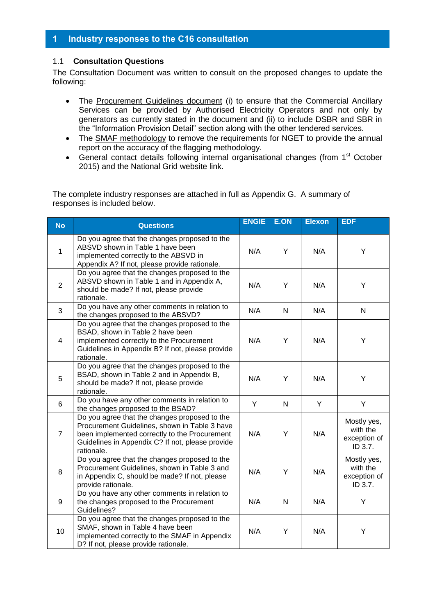# <span id="page-5-0"></span>**1 Industry responses to the C16 consultation**

# 1.1 **Consultation Questions**

The Consultation Document was written to consult on the proposed changes to update the following:

- The Procurement Guidelines document (i) to ensure that the Commercial Ancillary Services can be provided by Authorised Electricity Operators and not only by generators as currently stated in the document and (ii) to include DSBR and SBR in the "Information Provision Detail" section along with the other tendered services.
- The **SMAF methodology** to remove the requirements for NGET to provide the annual report on the accuracy of the flagging methodology.
- General contact details following internal organisational changes (from 1<sup>st</sup> October 2015) and the National Grid website link.

The complete industry responses are attached in full as Appendix G. A summary of responses is included below.

| <b>No</b>      | <b>Questions</b>                                                                                                                                                                                                  | <b>ENGIE</b> | <b>E.ON</b>  | <b>Elexon</b> | <b>EDF</b>                                         |
|----------------|-------------------------------------------------------------------------------------------------------------------------------------------------------------------------------------------------------------------|--------------|--------------|---------------|----------------------------------------------------|
| $\mathbf{1}$   | Do you agree that the changes proposed to the<br>ABSVD shown in Table 1 have been<br>implemented correctly to the ABSVD in<br>Appendix A? If not, please provide rationale.                                       | N/A          | Y            | N/A           | Y                                                  |
| $\overline{2}$ | Do you agree that the changes proposed to the<br>ABSVD shown in Table 1 and in Appendix A,<br>should be made? If not, please provide<br>rationale.                                                                | N/A          | Y            | N/A           | Y                                                  |
| 3              | Do you have any other comments in relation to<br>the changes proposed to the ABSVD?                                                                                                                               | N/A          | $\mathsf{N}$ | N/A           | N                                                  |
| $\overline{4}$ | Do you agree that the changes proposed to the<br>BSAD, shown in Table 2 have been<br>implemented correctly to the Procurement<br>Guidelines in Appendix B? If not, please provide<br>rationale.                   | N/A          | Y            | N/A           | Y                                                  |
| 5              | Do you agree that the changes proposed to the<br>BSAD, shown in Table 2 and in Appendix B,<br>should be made? If not, please provide<br>rationale.                                                                | N/A          | Y            | N/A           | Y                                                  |
| 6              | Do you have any other comments in relation to<br>the changes proposed to the BSAD?                                                                                                                                | Y            | $\mathsf{N}$ | Y             | Y                                                  |
| $\overline{7}$ | Do you agree that the changes proposed to the<br>Procurement Guidelines, shown in Table 3 have<br>been implemented correctly to the Procurement<br>Guidelines in Appendix C? If not, please provide<br>rationale. | N/A          | Y            | N/A           | Mostly yes,<br>with the<br>exception of<br>ID 3.7. |
| 8              | Do you agree that the changes proposed to the<br>Procurement Guidelines, shown in Table 3 and<br>in Appendix C, should be made? If not, please<br>provide rationale.                                              | N/A          | Y            | N/A           | Mostly yes,<br>with the<br>exception of<br>ID 3.7. |
| 9              | Do you have any other comments in relation to<br>the changes proposed to the Procurement<br>Guidelines?                                                                                                           | N/A          | ${\sf N}$    | N/A           | Υ                                                  |
| 10             | Do you agree that the changes proposed to the<br>SMAF, shown in Table 4 have been<br>implemented correctly to the SMAF in Appendix<br>D? If not, please provide rationale.                                        | N/A          | Υ            | N/A           | Υ                                                  |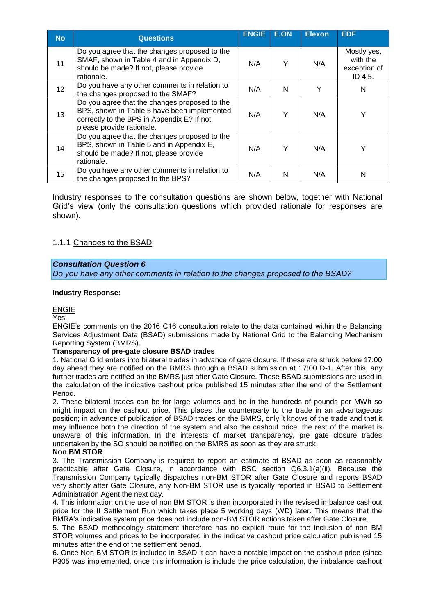| <b>No</b>       | <b>Questions</b>                                                                                                                                                         | <b>ENGIE</b> | <b>E.ON</b> | <b>Elexon</b> | <b>EDF</b>                                         |
|-----------------|--------------------------------------------------------------------------------------------------------------------------------------------------------------------------|--------------|-------------|---------------|----------------------------------------------------|
| 11              | Do you agree that the changes proposed to the<br>SMAF, shown in Table 4 and in Appendix D,<br>should be made? If not, please provide<br>rationale.                       | N/A          | Υ           | N/A           | Mostly yes,<br>with the<br>exception of<br>ID 4.5. |
| 12 <sup>2</sup> | Do you have any other comments in relation to<br>the changes proposed to the SMAF?                                                                                       | N/A          | N           | Υ             | N                                                  |
| 13              | Do you agree that the changes proposed to the<br>BPS, shown in Table 5 have been implemented<br>correctly to the BPS in Appendix E? If not,<br>please provide rationale. | N/A          | Υ           | N/A           |                                                    |
| 14              | Do you agree that the changes proposed to the<br>BPS, shown in Table 5 and in Appendix E,<br>should be made? If not, please provide<br>rationale.                        | N/A          | Υ           | N/A           |                                                    |
| 15              | Do you have any other comments in relation to<br>the changes proposed to the BPS?                                                                                        | N/A          | N           | N/A           | N                                                  |

Industry responses to the consultation questions are shown below, together with National Grid's view (only the consultation questions which provided rationale for responses are shown).

# 1.1.1 Changes to the BSAD

# *Consultation Question 6*

*Do you have any other comments in relation to the changes proposed to the BSAD?*

#### **Industry Response:**

ENGIE

Yes.

ENGIE's comments on the 2016 C16 consultation relate to the data contained within the Balancing Services Adjustment Data (BSAD) submissions made by National Grid to the Balancing Mechanism Reporting System (BMRS).

# **Transparency of pre-gate closure BSAD trades**

1. National Grid enters into bilateral trades in advance of gate closure. If these are struck before 17:00 day ahead they are notified on the BMRS through a BSAD submission at 17:00 D-1. After this, any further trades are notified on the BMRS just after Gate Closure. These BSAD submissions are used in the calculation of the indicative cashout price published 15 minutes after the end of the Settlement Period.

2. These bilateral trades can be for large volumes and be in the hundreds of pounds per MWh so might impact on the cashout price. This places the counterparty to the trade in an advantageous position; in advance of publication of BSAD trades on the BMRS, only it knows of the trade and that it may influence both the direction of the system and also the cashout price; the rest of the market is unaware of this information. In the interests of market transparency, pre gate closure trades undertaken by the SO should be notified on the BMRS as soon as they are struck.

#### **Non BM STOR**

3. The Transmission Company is required to report an estimate of BSAD as soon as reasonably practicable after Gate Closure, in accordance with BSC section Q6.3.1(a)(ii). Because the Transmission Company typically dispatches non-BM STOR after Gate Closure and reports BSAD very shortly after Gate Closure, any Non-BM STOR use is typically reported in BSAD to Settlement Administration Agent the next day.

4. This information on the use of non BM STOR is then incorporated in the revised imbalance cashout price for the II Settlement Run which takes place 5 working days (WD) later. This means that the BMRA's indicative system price does not include non-BM STOR actions taken after Gate Closure.

5. The BSAD methodology statement therefore has no explicit route for the inclusion of non BM STOR volumes and prices to be incorporated in the indicative cashout price calculation published 15 minutes after the end of the settlement period.

6. Once Non BM STOR is included in BSAD it can have a notable impact on the cashout price (since P305 was implemented, once this information is include the price calculation, the imbalance cashout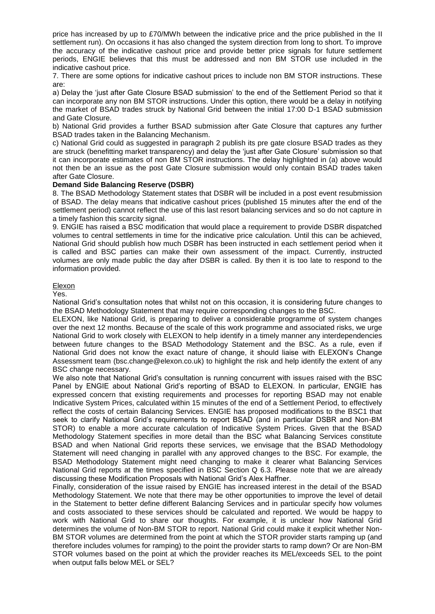price has increased by up to £70/MWh between the indicative price and the price published in the II settlement run). On occasions it has also changed the system direction from long to short. To improve the accuracy of the indicative cashout price and provide better price signals for future settlement periods, ENGIE believes that this must be addressed and non BM STOR use included in the indicative cashout price.

7. There are some options for indicative cashout prices to include non BM STOR instructions. These are:

a) Delay the 'just after Gate Closure BSAD submission' to the end of the Settlement Period so that it can incorporate any non BM STOR instructions. Under this option, there would be a delay in notifying the market of BSAD trades struck by National Grid between the initial 17:00 D-1 BSAD submission and Gate Closure.

b) National Grid provides a further BSAD submission after Gate Closure that captures any further BSAD trades taken in the Balancing Mechanism.

c) National Grid could as suggested in paragraph 2 publish its pre gate closure BSAD trades as they are struck (benefitting market transparency) and delay the 'just after Gate Closure' submission so that it can incorporate estimates of non BM STOR instructions. The delay highlighted in (a) above would not then be an issue as the post Gate Closure submission would only contain BSAD trades taken after Gate Closure.

#### **Demand Side Balancing Reserve (DSBR)**

8. The BSAD Methodology Statement states that DSBR will be included in a post event resubmission of BSAD. The delay means that indicative cashout prices (published 15 minutes after the end of the settlement period) cannot reflect the use of this last resort balancing services and so do not capture in a timely fashion this scarcity signal.

9. ENGIE has raised a BSC modification that would place a requirement to provide DSBR dispatched volumes to central settlements in time for the indicative price calculation. Until this can be achieved, National Grid should publish how much DSBR has been instructed in each settlement period when it is called and BSC parties can make their own assessment of the impact. Currently, instructed volumes are only made public the day after DSBR is called. By then it is too late to respond to the information provided.

#### Elexon

Yes.

National Grid's consultation notes that whilst not on this occasion, it is considering future changes to the BSAD Methodology Statement that may require corresponding changes to the BSC.

ELEXON, like National Grid, is preparing to deliver a considerable programme of system changes over the next 12 months. Because of the scale of this work programme and associated risks, we urge National Grid to work closely with ELEXON to help identify in a timely manner any interdependencies between future changes to the BSAD Methodology Statement and the BSC. As a rule, even if National Grid does not know the exact nature of change, it should liaise with ELEXON's Change Assessment team (bsc.change@elexon.co.uk) to highlight the risk and help identify the extent of any BSC change necessary.

We also note that National Grid's consultation is running concurrent with issues raised with the BSC Panel by ENGIE about National Grid's reporting of BSAD to ELEXON. In particular, ENGIE has expressed concern that existing requirements and processes for reporting BSAD may not enable Indicative System Prices, calculated within 15 minutes of the end of a Settlement Period, to effectively reflect the costs of certain Balancing Services. ENGIE has proposed modifications to the BSC1 that seek to clarify National Grid's requirements to report BSAD (and in particular DSBR and Non-BM STOR) to enable a more accurate calculation of Indicative System Prices. Given that the BSAD Methodology Statement specifies in more detail than the BSC what Balancing Services constitute BSAD and when National Grid reports these services, we envisage that the BSAD Methodology Statement will need changing in parallel with any approved changes to the BSC. For example, the BSAD Methodology Statement might need changing to make it clearer what Balancing Services National Grid reports at the times specified in BSC Section Q 6.3. Please note that we are already discussing these Modification Proposals with National Grid's Alex Haffner.

Finally, consideration of the issue raised by ENGIE has increased interest in the detail of the BSAD Methodology Statement. We note that there may be other opportunities to improve the level of detail in the Statement to better define different Balancing Services and in particular specify how volumes and costs associated to these services should be calculated and reported. We would be happy to work with National Grid to share our thoughts. For example, it is unclear how National Grid determines the volume of Non-BM STOR to report. National Grid could make it explicit whether Non-BM STOR volumes are determined from the point at which the STOR provider starts ramping up (and therefore includes volumes for ramping) to the point the provider starts to ramp down? Or are Non-BM STOR volumes based on the point at which the provider reaches its MEL/exceeds SEL to the point when output falls below MEL or SEL?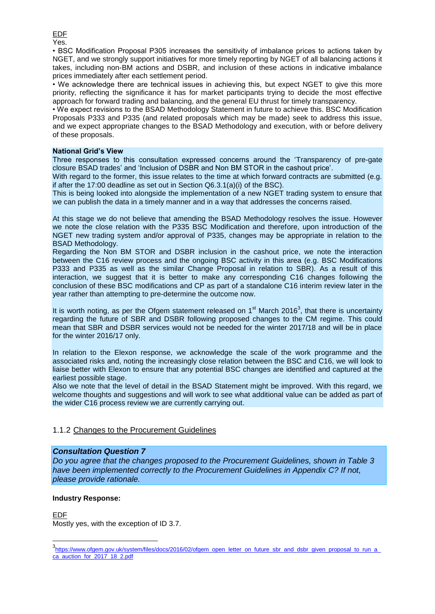EDF Yes.

• BSC Modification Proposal P305 increases the sensitivity of imbalance prices to actions taken by NGET, and we strongly support initiatives for more timely reporting by NGET of all balancing actions it takes, including non-BM actions and DSBR, and inclusion of these actions in indicative imbalance prices immediately after each settlement period.

• We acknowledge there are technical issues in achieving this, but expect NGET to give this more priority, reflecting the significance it has for market participants trying to decide the most effective approach for forward trading and balancing, and the general EU thrust for timely transparency.

• We expect revisions to the BSAD Methodology Statement in future to achieve this. BSC Modification Proposals P333 and P335 (and related proposals which may be made) seek to address this issue, and we expect appropriate changes to the BSAD Methodology and execution, with or before delivery of these proposals.

#### **National Grid's View**

Three responses to this consultation expressed concerns around the 'Transparency of pre-gate closure BSAD trades' and 'Inclusion of DSBR and Non BM STOR in the cashout price'.

With regard to the former, this issue relates to the time at which forward contracts are submitted (e.g. if after the 17:00 deadline as set out in Section Q6.3.1(a)(i) of the BSC).

This is being looked into alongside the implementation of a new NGET trading system to ensure that we can publish the data in a timely manner and in a way that addresses the concerns raised.

At this stage we do not believe that amending the BSAD Methodology resolves the issue. However we note the close relation with the P335 BSC Modification and therefore, upon introduction of the NGET new trading system and/or approval of P335, changes may be appropriate in relation to the BSAD Methodology.

Regarding the Non BM STOR and DSBR inclusion in the cashout price, we note the interaction between the C16 review process and the ongoing BSC activity in this area (e.g. BSC Modifications P333 and P335 as well as the similar Change Proposal in relation to SBR). As a result of this interaction, we suggest that it is better to make any corresponding C16 changes following the conclusion of these BSC modifications and CP as part of a standalone C16 interim review later in the year rather than attempting to pre-determine the outcome now.

It is worth noting, as per the Ofgem statement released on  $1<sup>st</sup>$  March 2016<sup>3</sup>, that there is uncertainty regarding the future of SBR and DSBR following proposed changes to the CM regime. This could mean that SBR and DSBR services would not be needed for the winter 2017/18 and will be in place for the winter 2016/17 only.

In relation to the Elexon response, we acknowledge the scale of the work programme and the associated risks and, noting the increasingly close relation between the BSC and C16, we will look to liaise better with Elexon to ensure that any potential BSC changes are identified and captured at the earliest possible stage.

Also we note that the level of detail in the BSAD Statement might be improved. With this regard, we welcome thoughts and suggestions and will work to see what additional value can be added as part of the wider C16 process review we are currently carrying out.

# 1.1.2 Changes to the Procurement Guidelines

# *Consultation Question 7*

*Do you agree that the changes proposed to the Procurement Guidelines, shown in Table 3 have been implemented correctly to the Procurement Guidelines in Appendix C? If not, please provide rationale.*

# **Industry Response:**

# EDF

Mostly yes, with the exception of ID 3.7.

 3 [https://www.ofgem.gov.uk/system/files/docs/2016/02/ofgem\\_open\\_letter\\_on\\_future\\_sbr\\_and\\_dsbr\\_given\\_proposal\\_to\\_run\\_a\\_](https://www.ofgem.gov.uk/system/files/docs/2016/02/ofgem_open_letter_on_future_sbr_and_dsbr_given_proposal_to_run_a_ca_auction_for_2017_18_2.pdf) [ca\\_auction\\_for\\_2017\\_18\\_2.pdf](https://www.ofgem.gov.uk/system/files/docs/2016/02/ofgem_open_letter_on_future_sbr_and_dsbr_given_proposal_to_run_a_ca_auction_for_2017_18_2.pdf)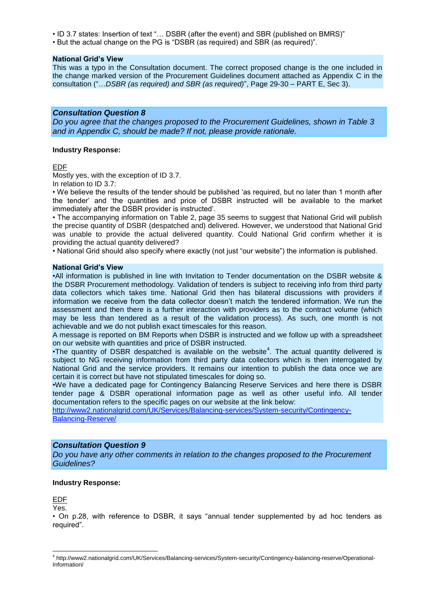• ID 3.7 states: Insertion of text "… DSBR (after the event) and SBR (published on BMRS)"

• But the actual change on the PG is "DSBR (as required) and SBR (as required)".

#### **National Grid's View**

This was a typo in the Consultation document. The correct proposed change is the one included in the change marked version of the Procurement Guidelines document attached as Appendix C in the consultation ("…*DSBR (as required) and SBR (as required)*", Page 29-30 – PART E, Sec 3).

#### *Consultation Question 8*

*Do you agree that the changes proposed to the Procurement Guidelines, shown in Table 3 and in Appendix C, should be made? If not, please provide rationale.*

#### **Industry Response:**

EDF

Mostly yes, with the exception of ID 3.7.

In relation to ID 3.7:

• We believe the results of the tender should be published 'as required, but no later than 1 month after the tender' and 'the quantities and price of DSBR instructed will be available to the market immediately after the DSBR provider is instructed'.

• The accompanying information on Table 2, page 35 seems to suggest that National Grid will publish the precise quantity of DSBR (despatched and) delivered. However, we understood that National Grid was unable to provide the actual delivered quantity. Could National Grid confirm whether it is providing the actual quantity delivered?

• National Grid should also specify where exactly (not just "our website") the information is published.

#### **National Grid's View**

•All information is published in line with Invitation to Tender documentation on the DSBR website & the DSBR Procurement methodology. Validation of tenders is subject to receiving info from third party data collectors which takes time. National Grid then has bilateral discussions with providers if information we receive from the data collector doesn't match the tendered information. We run the assessment and then there is a further interaction with providers as to the contract volume (which may be less than tendered as a result of the validation process). As such, one month is not achievable and we do not publish exact timescales for this reason.

A message is reported on BM Reports when DSBR is instructed and we follow up with a spreadsheet on our website with quantities and price of DSBR instructed.

•The quantity of DSBR despatched is available on the website<sup>4</sup>. The actual quantity delivered is subject to NG receiving information from third party data collectors which is then interrogated by National Grid and the service providers. It remains our intention to publish the data once we are certain it is correct but have not stipulated timescales for doing so.

•We have a dedicated page for Contingency Balancing Reserve Services and here there is DSBR tender page & DSBR operational information page as well as other useful info. All tender documentation refers to the specific pages on our website at the link below:

[http://www2.nationalgrid.com/UK/Services/Balancing-services/System-security/Contingency-](http://www2.nationalgrid.com/UK/Services/Balancing-services/System-security/Contingency-Balancing-Reserve/)[Balancing-Reserve/](http://www2.nationalgrid.com/UK/Services/Balancing-services/System-security/Contingency-Balancing-Reserve/)

# *Consultation Question 9*

*Do you have any other comments in relation to the changes proposed to the Procurement Guidelines?*

#### **Industry Response:**

EDF

Yes.

-

• On p.28, with reference to DSBR, it says "annual tender supplemented by ad hoc tenders as required".

<sup>4</sup> http://www2.nationalgrid.com/UK/Services/Balancing-services/System-security/Contingency-balancing-reserve/Operational-Information/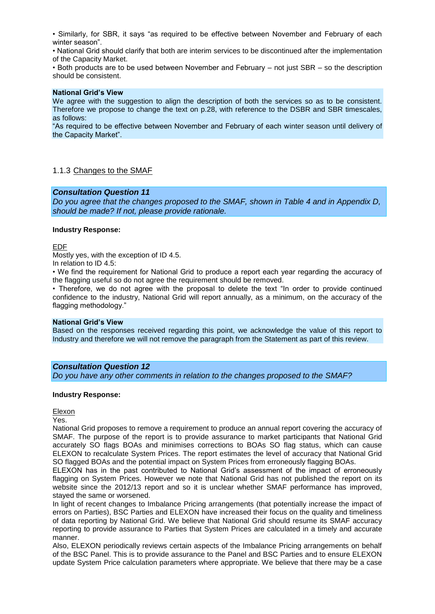• Similarly, for SBR, it says "as required to be effective between November and February of each winter season".

• National Grid should clarify that both are interim services to be discontinued after the implementation of the Capacity Market.

• Both products are to be used between November and February – not just SBR – so the description should be consistent.

#### **National Grid's View**

We agree with the suggestion to align the description of both the services so as to be consistent. Therefore we propose to change the text on p.28, with reference to the DSBR and SBR timescales, as follows:

"As required to be effective between November and February of each winter season until delivery of the Capacity Market".

#### 1.1.3 Changes to the SMAF

#### *Consultation Question 11*

*Do you agree that the changes proposed to the SMAF, shown in Table 4 and in Appendix D, should be made? If not, please provide rationale.*

#### **Industry Response:**

EDF

Mostly yes, with the exception of ID 4.5.

In relation to ID 4.5:

• We find the requirement for National Grid to produce a report each year regarding the accuracy of the flagging useful so do not agree the requirement should be removed.

• Therefore, we do not agree with the proposal to delete the text "In order to provide continued confidence to the industry, National Grid will report annually, as a minimum, on the accuracy of the flagging methodology."

#### **National Grid's View**

Based on the responses received regarding this point, we acknowledge the value of this report to Industry and therefore we will not remove the paragraph from the Statement as part of this review.

#### *Consultation Question 12*

*Do you have any other comments in relation to the changes proposed to the SMAF?*

#### **Industry Response:**

Elexon

Yes.

National Grid proposes to remove a requirement to produce an annual report covering the accuracy of SMAF. The purpose of the report is to provide assurance to market participants that National Grid accurately SO flags BOAs and minimises corrections to BOAs SO flag status, which can cause ELEXON to recalculate System Prices. The report estimates the level of accuracy that National Grid SO flagged BOAs and the potential impact on System Prices from erroneously flagging BOAs.

ELEXON has in the past contributed to National Grid's assessment of the impact of erroneously flagging on System Prices. However we note that National Grid has not published the report on its website since the 2012/13 report and so it is unclear whether SMAF performance has improved, stayed the same or worsened.

In light of recent changes to Imbalance Pricing arrangements (that potentially increase the impact of errors on Parties), BSC Parties and ELEXON have increased their focus on the quality and timeliness of data reporting by National Grid. We believe that National Grid should resume its SMAF accuracy reporting to provide assurance to Parties that System Prices are calculated in a timely and accurate manner.

Also, ELEXON periodically reviews certain aspects of the Imbalance Pricing arrangements on behalf of the BSC Panel. This is to provide assurance to the Panel and BSC Parties and to ensure ELEXON update System Price calculation parameters where appropriate. We believe that there may be a case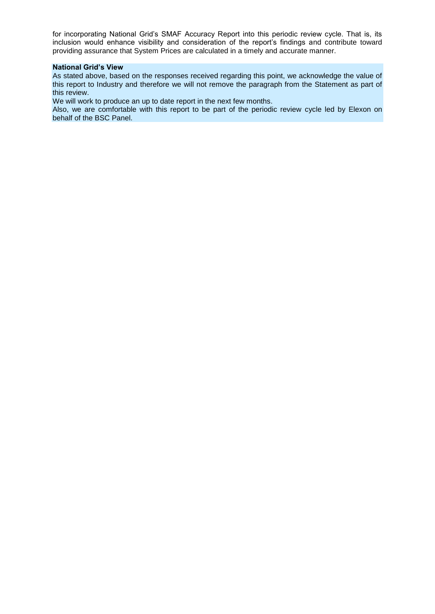for incorporating National Grid's SMAF Accuracy Report into this periodic review cycle. That is, its inclusion would enhance visibility and consideration of the report's findings and contribute toward providing assurance that System Prices are calculated in a timely and accurate manner.

#### **National Grid's View**

As stated above, based on the responses received regarding this point, we acknowledge the value of this report to Industry and therefore we will not remove the paragraph from the Statement as part of this review.

We will work to produce an up to date report in the next few months.

Also, we are comfortable with this report to be part of the periodic review cycle led by Elexon on behalf of the BSC Panel.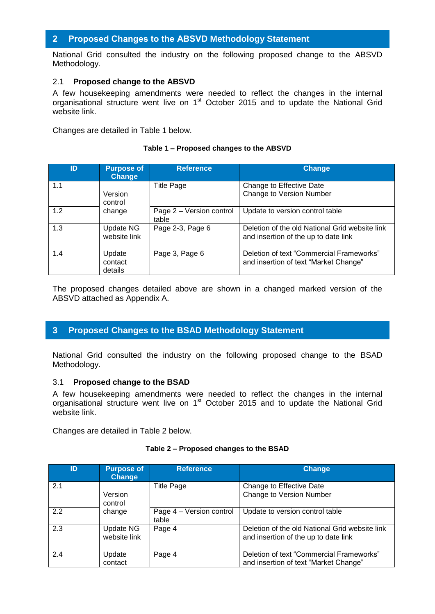# <span id="page-12-0"></span>**2 Proposed Changes to the ABSVD Methodology Statement**

National Grid consulted the industry on the following proposed change to the ABSVD Methodology.

# 2.1 **Proposed change to the ABSVD**

A few housekeeping amendments were needed to reflect the changes in the internal organisational structure went live on 1<sup>st</sup> October 2015 and to update the National Grid website link.

Changes are detailed in Table 1 below.

# **Table 1 – Proposed changes to the ABSVD**

| ID  | <b>Purpose of</b><br><b>Change</b> | <b>Reference</b>                  | <b>Change</b>                                                                          |
|-----|------------------------------------|-----------------------------------|----------------------------------------------------------------------------------------|
| 1.1 | Version<br>control                 | <b>Title Page</b>                 | Change to Effective Date<br>Change to Version Number                                   |
| 1.2 | change                             | Page 2 - Version control<br>table | Update to version control table                                                        |
| 1.3 | Update NG<br>website link          | Page 2-3, Page 6                  | Deletion of the old National Grid website link<br>and insertion of the up to date link |
| 1.4 | Update<br>contact<br>details       | Page 3, Page 6                    | Deletion of text "Commercial Frameworks"<br>and insertion of text "Market Change"      |

The proposed changes detailed above are shown in a changed marked version of the ABSVD attached as Appendix A.

# <span id="page-12-1"></span>**3 Proposed Changes to the BSAD Methodology Statement**

National Grid consulted the industry on the following proposed change to the BSAD Methodology.

# 3.1 **Proposed change to the BSAD**

A few housekeeping amendments were needed to reflect the changes in the internal organisational structure went live on 1<sup>st</sup> October 2015 and to update the National Grid website link.

Changes are detailed in Table 2 below.

| ID  | <b>Purpose of</b><br><b>Change</b> | <b>Reference</b>                  | <b>Change</b>                                                                          |
|-----|------------------------------------|-----------------------------------|----------------------------------------------------------------------------------------|
| 2.1 | Version<br>control                 | <b>Title Page</b>                 | Change to Effective Date<br>Change to Version Number                                   |
| 2.2 | change                             | Page 4 - Version control<br>table | Update to version control table                                                        |
| 2.3 | Update NG<br>website link          | Page 4                            | Deletion of the old National Grid website link<br>and insertion of the up to date link |
| 2.4 | Update<br>contact                  | Page 4                            | Deletion of text "Commercial Frameworks"<br>and insertion of text "Market Change"      |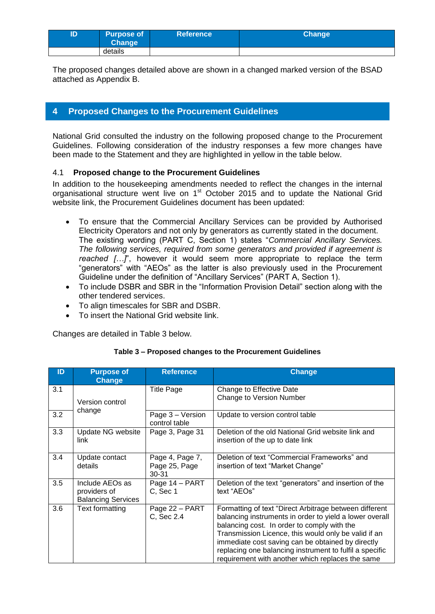| ID | <b>Purpose of</b><br><b>Change</b> | <b>Reference</b> | Change <sup>1</sup> |
|----|------------------------------------|------------------|---------------------|
|    | details                            |                  |                     |

The proposed changes detailed above are shown in a changed marked version of the BSAD attached as Appendix B.

# <span id="page-13-0"></span>**4 Proposed Changes to the Procurement Guidelines**

National Grid consulted the industry on the following proposed change to the Procurement Guidelines. Following consideration of the industry responses a few more changes have been made to the Statement and they are highlighted in yellow in the table below.

# 4.1 **Proposed change to the Procurement Guidelines**

In addition to the housekeeping amendments needed to reflect the changes in the internal organisational structure went live on 1<sup>st</sup> October 2015 and to update the National Grid website link, the Procurement Guidelines document has been updated:

- To ensure that the Commercial Ancillary Services can be provided by Authorised Electricity Operators and not only by generators as currently stated in the document. The existing wording (PART C, Section 1) states "*Commercial Ancillary Services. The following services, required from some generators and provided if agreement is reached […]*", however it would seem more appropriate to replace the term "generators" with "AEOs" as the latter is also previously used in the Procurement Guideline under the definition of "Ancillary Services" (PART A, Section 1).
- To include DSBR and SBR in the "Information Provision Detail" section along with the other tendered services.
- To align timescales for SBR and DSBR.
- To insert the National Grid website link.

Changes are detailed in Table 3 below.

| ID  | <b>Purpose of</b><br><b>Change</b>                           | <b>Reference</b>                          | <b>Change</b>                                                                                                                                                                                                                                                                                                                                                                                |
|-----|--------------------------------------------------------------|-------------------------------------------|----------------------------------------------------------------------------------------------------------------------------------------------------------------------------------------------------------------------------------------------------------------------------------------------------------------------------------------------------------------------------------------------|
| 3.1 | Version control                                              | <b>Title Page</b>                         | Change to Effective Date<br>Change to Version Number                                                                                                                                                                                                                                                                                                                                         |
| 3.2 | change                                                       | Page 3 - Version<br>control table         | Update to version control table                                                                                                                                                                                                                                                                                                                                                              |
| 3.3 | Update NG website<br>link                                    | Page 3, Page 31                           | Deletion of the old National Grid website link and<br>insertion of the up to date link                                                                                                                                                                                                                                                                                                       |
| 3.4 | Update contact<br>details                                    | Page 4, Page 7,<br>Page 25, Page<br>30-31 | Deletion of text "Commercial Frameworks" and<br>insertion of text "Market Change"                                                                                                                                                                                                                                                                                                            |
| 3.5 | Include AEOs as<br>providers of<br><b>Balancing Services</b> | Page 14 - PART<br>C, Sec 1                | Deletion of the text "generators" and insertion of the<br>text "AEOs"                                                                                                                                                                                                                                                                                                                        |
| 3.6 | Text formatting                                              | Page 22 - PART<br>C, Sec 2.4              | Formatting of text "Direct Arbitrage between different<br>balancing instruments in order to yield a lower overall<br>balancing cost. In order to comply with the<br>Transmission Licence, this would only be valid if an<br>immediate cost saving can be obtained by directly<br>replacing one balancing instrument to fulfil a specific<br>requirement with another which replaces the same |

# **Table 3 – Proposed changes to the Procurement Guidelines**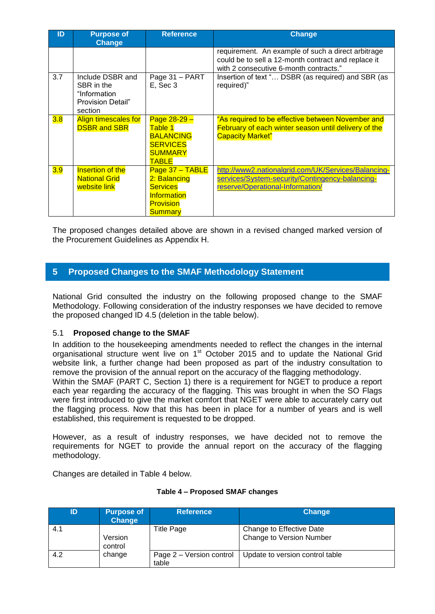| ID  | <b>Purpose of</b><br><b>Change</b>                                             | <b>Reference</b>                                                                                          | <b>Change</b>                                                                                                                                       |
|-----|--------------------------------------------------------------------------------|-----------------------------------------------------------------------------------------------------------|-----------------------------------------------------------------------------------------------------------------------------------------------------|
|     |                                                                                |                                                                                                           | requirement. An example of such a direct arbitrage<br>could be to sell a 12-month contract and replace it<br>with 2 consecutive 6-month contracts." |
| 3.7 | Include DSBR and<br>SBR in the<br>"Information<br>Provision Detail"<br>section | Page 31 - PART<br>E, Sec 3                                                                                | Insertion of text " DSBR (as required) and SBR (as<br>required)"                                                                                    |
| 3.8 | <b>Align timescales for</b><br><b>DSBR and SBR</b>                             | Page $28-29 -$<br>Table 1<br><b>BALANCING</b><br><b>SERVICES</b><br><b>SUMMARY</b><br><b>TABLE</b>        | "As required to be effective between November and<br>February of each winter season until delivery of the<br><b>Capacity Market"</b>                |
| 3.9 | <b>Insertion of the</b><br><b>National Grid</b><br>website link                | Page $37 - TABLE$<br>2: Balancing<br><b>Services</b><br>Information<br><b>Provision</b><br><b>Summary</b> | http://www2.nationalgrid.com/UK/Services/Balancing-<br>services/System-security/Contingency-balancing-<br>reserve/Operational-Information/          |

The proposed changes detailed above are shown in a revised changed marked version of the Procurement Guidelines as Appendix H.

# <span id="page-14-0"></span>**5 Proposed Changes to the SMAF Methodology Statement**

National Grid consulted the industry on the following proposed change to the SMAF Methodology. Following consideration of the industry responses we have decided to remove the proposed changed ID 4.5 (deletion in the table below).

# 5.1 **Proposed change to the SMAF**

In addition to the housekeeping amendments needed to reflect the changes in the internal organisational structure went live on 1<sup>st</sup> October 2015 and to update the National Grid website link, a further change had been proposed as part of the industry consultation to remove the provision of the annual report on the accuracy of the flagging methodology.

Within the SMAF (PART C, Section 1) there is a requirement for NGET to produce a report each year regarding the accuracy of the flagging. This was brought in when the SO Flags were first introduced to give the market comfort that NGET were able to accurately carry out the flagging process. Now that this has been in place for a number of years and is well established, this requirement is requested to be dropped.

However, as a result of industry responses, we have decided not to remove the requirements for NGET to provide the annual report on the accuracy of the flagging methodology.

Changes are detailed in Table 4 below.

| ID  | <b>Purpose of</b><br>Change | <b>Reference</b>                  | <b>Change</b>                                        |
|-----|-----------------------------|-----------------------------------|------------------------------------------------------|
| 4.1 | Version<br>control          | Title Page                        | Change to Effective Date<br>Change to Version Number |
| 4.2 | change                      | Page 2 – Version control<br>table | Update to version control table                      |

# **Table 4 – Proposed SMAF changes**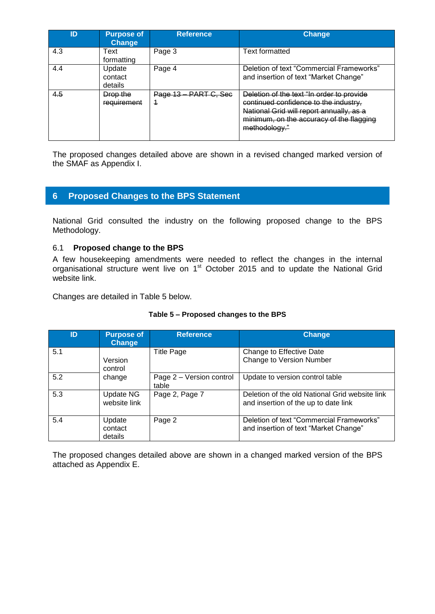| ID  | <b>Purpose of</b><br><b>Change</b> | <b>Reference</b>            | <b>Change</b>                                                                                                                                                                               |
|-----|------------------------------------|-----------------------------|---------------------------------------------------------------------------------------------------------------------------------------------------------------------------------------------|
| 4.3 | Text<br>formatting                 | Page 3                      | <b>Text formatted</b>                                                                                                                                                                       |
| 4.4 | Update<br>contact<br>details       | Page 4                      | Deletion of text "Commercial Frameworks"<br>and insertion of text "Market Change"                                                                                                           |
| 4.5 | Drop the<br>requirement            | PART C, Sec<br>Page 13<br>4 | Deletion of the text "In order to provide<br>continued confidence to the industry,<br>National Grid will report annually, as a<br>minimum, on the accuracy of the flagging<br>methodology." |

The proposed changes detailed above are shown in a revised changed marked version of the SMAF as Appendix I.

# <span id="page-15-0"></span>**6 Proposed Changes to the BPS Statement**

National Grid consulted the industry on the following proposed change to the BPS Methodology.

# 6.1 **Proposed change to the BPS**

A few housekeeping amendments were needed to reflect the changes in the internal organisational structure went live on 1<sup>st</sup> October 2015 and to update the National Grid website link.

Changes are detailed in Table 5 below.

| ID  | <b>Purpose of</b><br><b>Change</b> | <b>Reference</b>                  | Change                                                                                 |
|-----|------------------------------------|-----------------------------------|----------------------------------------------------------------------------------------|
| 5.1 | Version<br>control                 | <b>Title Page</b>                 | Change to Effective Date<br>Change to Version Number                                   |
| 5.2 | change                             | Page 2 - Version control<br>table | Update to version control table                                                        |
| 5.3 | Update NG<br>website link          | Page 2, Page 7                    | Deletion of the old National Grid website link<br>and insertion of the up to date link |
| 5.4 | Update<br>contact<br>details       | Page 2                            | Deletion of text "Commercial Frameworks"<br>and insertion of text "Market Change"      |

# **Table 5 – Proposed changes to the BPS**

The proposed changes detailed above are shown in a changed marked version of the BPS attached as Appendix E.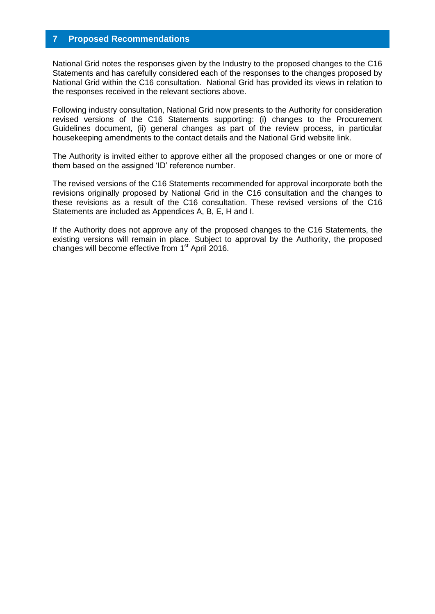# <span id="page-16-0"></span>**7 Proposed Recommendations**

National Grid notes the responses given by the Industry to the proposed changes to the C16 Statements and has carefully considered each of the responses to the changes proposed by National Grid within the C16 consultation. National Grid has provided its views in relation to the responses received in the relevant sections above.

Following industry consultation, National Grid now presents to the Authority for consideration revised versions of the C16 Statements supporting: (i) changes to the Procurement Guidelines document, (ii) general changes as part of the review process, in particular housekeeping amendments to the contact details and the National Grid website link.

The Authority is invited either to approve either all the proposed changes or one or more of them based on the assigned 'ID' reference number.

The revised versions of the C16 Statements recommended for approval incorporate both the revisions originally proposed by National Grid in the C16 consultation and the changes to these revisions as a result of the C16 consultation. These revised versions of the C16 Statements are included as Appendices A, B, E, H and I.

If the Authority does not approve any of the proposed changes to the C16 Statements, the existing versions will remain in place. Subject to approval by the Authority, the proposed changes will become effective from 1<sup>st</sup> April 2016.